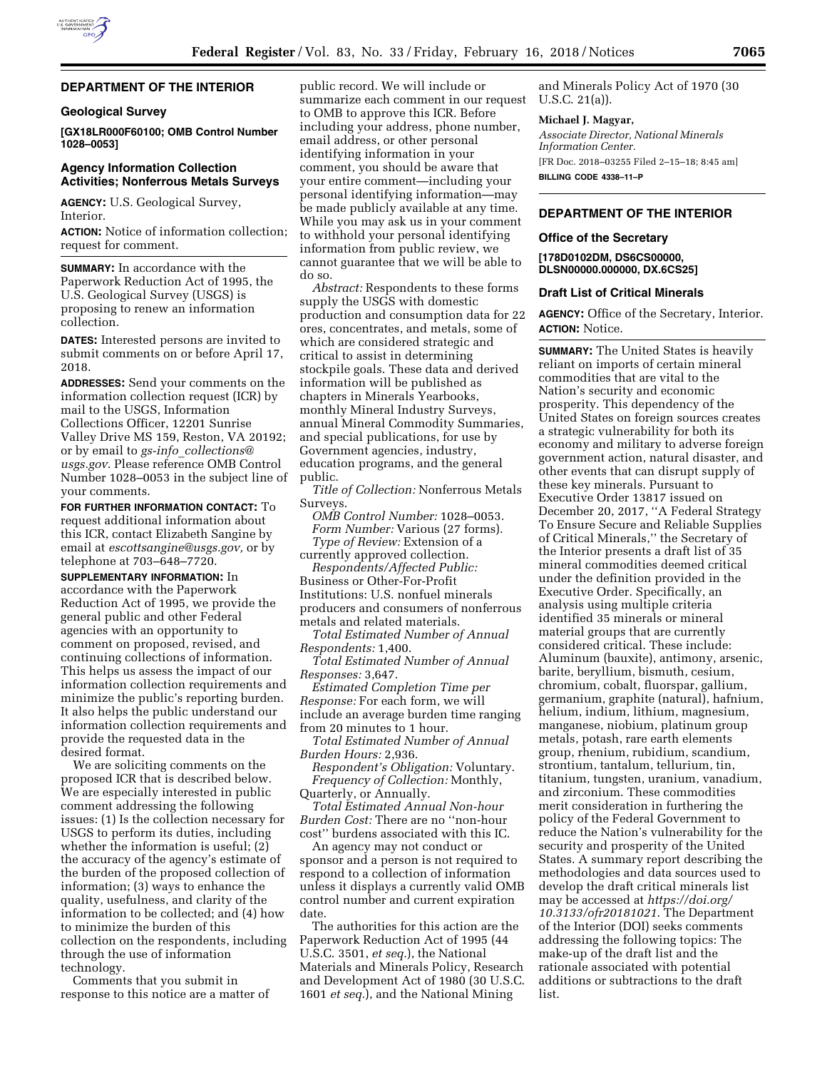

#### **DEPARTMENT OF THE INTERIOR**

#### **Geological Survey**

**[GX18LR000F60100; OMB Control Number 1028–0053]** 

## **Agency Information Collection Activities; Nonferrous Metals Surveys**

**AGENCY:** U.S. Geological Survey, Interior.

**ACTION:** Notice of information collection; request for comment.

**SUMMARY:** In accordance with the Paperwork Reduction Act of 1995, the U.S. Geological Survey (USGS) is proposing to renew an information collection.

**DATES:** Interested persons are invited to submit comments on or before April 17, 2018.

**ADDRESSES:** Send your comments on the information collection request (ICR) by mail to the USGS, Information Collections Officer, 12201 Sunrise Valley Drive MS 159, Reston, VA 20192; or by email to *gs-info*\_*[collections@](mailto:gs-info_collections@usgs.gov) [usgs.gov](mailto:gs-info_collections@usgs.gov)*. Please reference OMB Control Number 1028–0053 in the subject line of your comments.

**FOR FURTHER INFORMATION CONTACT:** To request additional information about this ICR, contact Elizabeth Sangine by email at *[escottsangine@usgs.gov,](mailto:escottsangine@usgs.gov)* or by telephone at 703–648–7720.

**SUPPLEMENTARY INFORMATION:** In accordance with the Paperwork Reduction Act of 1995, we provide the general public and other Federal agencies with an opportunity to comment on proposed, revised, and continuing collections of information. This helps us assess the impact of our information collection requirements and minimize the public's reporting burden. It also helps the public understand our information collection requirements and provide the requested data in the desired format.

We are soliciting comments on the proposed ICR that is described below. We are especially interested in public comment addressing the following issues: (1) Is the collection necessary for USGS to perform its duties, including whether the information is useful; (2) the accuracy of the agency's estimate of the burden of the proposed collection of information; (3) ways to enhance the quality, usefulness, and clarity of the information to be collected; and (4) how to minimize the burden of this collection on the respondents, including through the use of information technology.

Comments that you submit in response to this notice are a matter of

public record. We will include or summarize each comment in our request to OMB to approve this ICR. Before including your address, phone number, email address, or other personal identifying information in your comment, you should be aware that your entire comment—including your personal identifying information—may be made publicly available at any time. While you may ask us in your comment to withhold your personal identifying information from public review, we cannot guarantee that we will be able to do so.

*Abstract:* Respondents to these forms supply the USGS with domestic production and consumption data for 22 ores, concentrates, and metals, some of which are considered strategic and critical to assist in determining stockpile goals. These data and derived information will be published as chapters in Minerals Yearbooks, monthly Mineral Industry Surveys, annual Mineral Commodity Summaries, and special publications, for use by Government agencies, industry, education programs, and the general public.

*Title of Collection:* Nonferrous Metals Surveys.

*OMB Control Number:* 1028–0053. *Form Number:* Various (27 forms). *Type of Review:* Extension of a currently approved collection.

*Respondents/Affected Public:*  Business or Other-For-Profit Institutions: U.S. nonfuel minerals producers and consumers of nonferrous metals and related materials.

*Total Estimated Number of Annual Respondents:* 1,400.

*Total Estimated Number of Annual Responses:* 3,647.

*Estimated Completion Time per Response:* For each form, we will include an average burden time ranging from 20 minutes to 1 hour.

*Total Estimated Number of Annual Burden Hours:* 2,936.

*Respondent's Obligation:* Voluntary. *Frequency of Collection:* Monthly, Quarterly, or Annually.

*Total Estimated Annual Non-hour Burden Cost:* There are no ''non-hour cost'' burdens associated with this IC.

An agency may not conduct or sponsor and a person is not required to respond to a collection of information unless it displays a currently valid OMB control number and current expiration date.

The authorities for this action are the Paperwork Reduction Act of 1995 (44 U.S.C. 3501, *et seq.*), the National Materials and Minerals Policy, Research and Development Act of 1980 (30 U.S.C. 1601 *et seq.*), and the National Mining

and Minerals Policy Act of 1970 (30 U.S.C. 21(a)).

#### **Michael J. Magyar,**

*Associate Director, National Minerals Information Center.*  [FR Doc. 2018–03255 Filed 2–15–18; 8:45 am] **BILLING CODE 4338–11–P** 

## **DEPARTMENT OF THE INTERIOR**

#### **Office of the Secretary**

**[178D0102DM, DS6CS00000, DLSN00000.000000, DX.6CS25]** 

#### **Draft List of Critical Minerals**

**AGENCY:** Office of the Secretary, Interior. **ACTION:** Notice.

**SUMMARY:** The United States is heavily reliant on imports of certain mineral commodities that are vital to the Nation's security and economic prosperity. This dependency of the United States on foreign sources creates a strategic vulnerability for both its economy and military to adverse foreign government action, natural disaster, and other events that can disrupt supply of these key minerals. Pursuant to Executive Order 13817 issued on December 20, 2017, ''A Federal Strategy To Ensure Secure and Reliable Supplies of Critical Minerals,'' the Secretary of the Interior presents a draft list of 35 mineral commodities deemed critical under the definition provided in the Executive Order. Specifically, an analysis using multiple criteria identified 35 minerals or mineral material groups that are currently considered critical. These include: Aluminum (bauxite), antimony, arsenic, barite, beryllium, bismuth, cesium, chromium, cobalt, fluorspar, gallium, germanium, graphite (natural), hafnium, helium, indium, lithium, magnesium, manganese, niobium, platinum group metals, potash, rare earth elements group, rhenium, rubidium, scandium, strontium, tantalum, tellurium, tin, titanium, tungsten, uranium, vanadium, and zirconium. These commodities merit consideration in furthering the policy of the Federal Government to reduce the Nation's vulnerability for the security and prosperity of the United States. A summary report describing the methodologies and data sources used to develop the draft critical minerals list may be accessed at *[https://doi.org/](https://doi.org/10.3133/ofr20181021) [10.3133/ofr20181021](https://doi.org/10.3133/ofr20181021)*. The Department of the Interior (DOI) seeks comments addressing the following topics: The make-up of the draft list and the rationale associated with potential additions or subtractions to the draft list.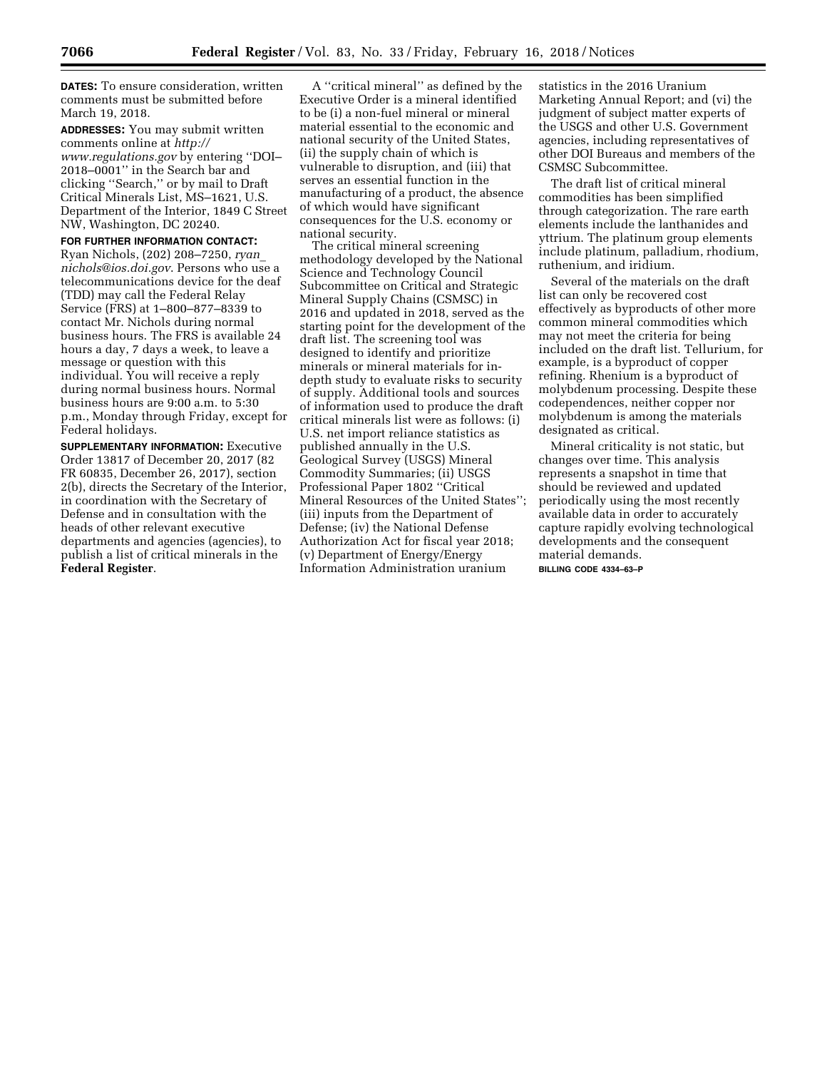**DATES:** To ensure consideration, written comments must be submitted before March 19, 2018.

**ADDRESSES:** You may submit written comments online at *[http://](http://www.regulations.gov) [www.regulations.gov](http://www.regulations.gov)* by entering ''DOI– 2018–0001'' in the Search bar and clicking ''Search,'' or by mail to Draft Critical Minerals List, MS–1621, U.S. Department of the Interior, 1849 C Street NW, Washington, DC 20240.

## **FOR FURTHER INFORMATION CONTACT:**  Ryan Nichols, (202) 208–7250, *[ryan](mailto:ryan_nichols@ios.doi.gov)*\_ *[nichols@ios.doi.gov](mailto:ryan_nichols@ios.doi.gov)*. Persons who use a telecommunications device for the deaf (TDD) may call the Federal Relay Service (FRS) at 1–800–877–8339 to contact Mr. Nichols during normal business hours. The FRS is available 24 hours a day, 7 days a week, to leave a message or question with this individual. You will receive a reply during normal business hours. Normal business hours are 9:00 a.m. to 5:30 p.m., Monday through Friday, except for

Federal holidays. **SUPPLEMENTARY INFORMATION:** Executive Order 13817 of December 20, 2017 (82 FR 60835, December 26, 2017), section 2(b), directs the Secretary of the Interior, in coordination with the Secretary of Defense and in consultation with the heads of other relevant executive departments and agencies (agencies), to publish a list of critical minerals in the **Federal Register**.

A ''critical mineral'' as defined by the Executive Order is a mineral identified to be (i) a non-fuel mineral or mineral material essential to the economic and national security of the United States, (ii) the supply chain of which is vulnerable to disruption, and (iii) that serves an essential function in the manufacturing of a product, the absence of which would have significant consequences for the U.S. economy or national security.

The critical mineral screening methodology developed by the National Science and Technology Council Subcommittee on Critical and Strategic Mineral Supply Chains (CSMSC) in 2016 and updated in 2018, served as the starting point for the development of the draft list. The screening tool was designed to identify and prioritize minerals or mineral materials for indepth study to evaluate risks to security of supply. Additional tools and sources of information used to produce the draft critical minerals list were as follows: (i) U.S. net import reliance statistics as published annually in the U.S. Geological Survey (USGS) Mineral Commodity Summaries; (ii) USGS Professional Paper 1802 ''Critical Mineral Resources of the United States''; (iii) inputs from the Department of Defense; (iv) the National Defense Authorization Act for fiscal year 2018; (v) Department of Energy/Energy Information Administration uranium

statistics in the 2016 Uranium Marketing Annual Report; and (vi) the judgment of subject matter experts of the USGS and other U.S. Government agencies, including representatives of other DOI Bureaus and members of the CSMSC Subcommittee.

The draft list of critical mineral commodities has been simplified through categorization. The rare earth elements include the lanthanides and yttrium. The platinum group elements include platinum, palladium, rhodium, ruthenium, and iridium.

Several of the materials on the draft list can only be recovered cost effectively as byproducts of other more common mineral commodities which may not meet the criteria for being included on the draft list. Tellurium, for example, is a byproduct of copper refining. Rhenium is a byproduct of molybdenum processing. Despite these codependences, neither copper nor molybdenum is among the materials designated as critical.

Mineral criticality is not static, but changes over time. This analysis represents a snapshot in time that should be reviewed and updated periodically using the most recently available data in order to accurately capture rapidly evolving technological developments and the consequent material demands.

**BILLING CODE 4334–63–P**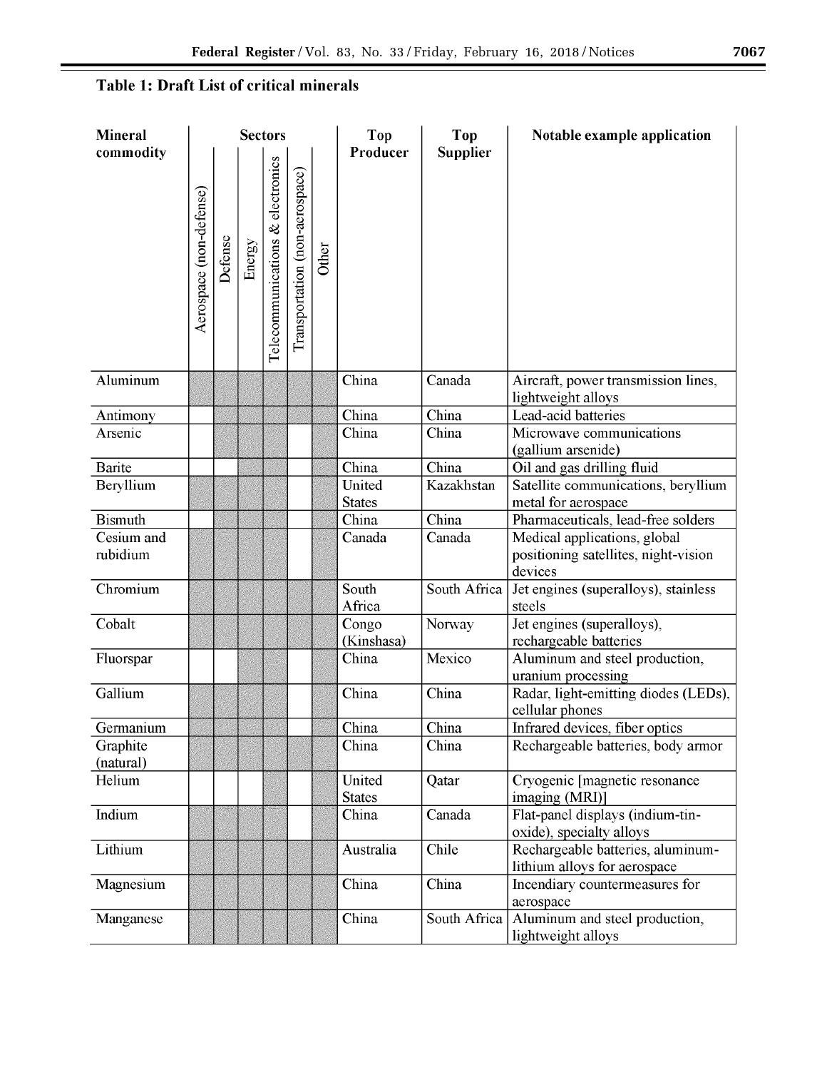# Table 1: Draft List of critical minerals

| <b>Mineral</b>         | <b>Sectors</b>          |         |        |                                  |                                |       | Top                     | Top                       | Notable example application                                                     |
|------------------------|-------------------------|---------|--------|----------------------------------|--------------------------------|-------|-------------------------|---------------------------|---------------------------------------------------------------------------------|
| commodity              | Aerospace (non-defense) | Defense | Energy | Telecommunications & electronics | Transportation (non-aerospace) | Other | Producer                | <b>Supplier</b>           |                                                                                 |
| Aluminum               |                         |         |        |                                  |                                |       | China                   | Canada                    | Aircraft, power transmission lines,<br>lightweight alloys                       |
| Antimony               |                         |         |        |                                  |                                |       | China                   | China                     | Lead-acid batteries                                                             |
| Arsenic                |                         |         |        |                                  |                                |       | China                   | China                     | Microwave communications<br>(gallium arsenide)                                  |
| <b>Barite</b>          |                         |         |        |                                  |                                |       | China                   | China                     | Oil and gas drilling fluid                                                      |
| Beryllium              |                         |         |        |                                  |                                |       | United<br><b>States</b> | Kazakhstan                | Satellite communications, beryllium<br>metal for aerospace                      |
| <b>Bismuth</b>         |                         |         |        |                                  |                                |       | China                   | $\overline{\text{China}}$ | Pharmaceuticals, lead-free solders                                              |
| Cesium and<br>rubidium |                         |         |        |                                  |                                |       | Canada                  | Canada                    | Medical applications, global<br>positioning satellites, night-vision<br>devices |
| Chromium               |                         |         |        |                                  |                                |       | South<br>Africa         | South Africa              | Jet engines (superalloys), stainless<br>steels                                  |
| Cobalt                 |                         |         |        |                                  |                                |       | Congo<br>(Kinshasa)     | Norway                    | Jet engines (superalloys),<br>rechargeable batteries                            |
| Fluorspar              |                         |         |        |                                  |                                |       | China                   | Mexico                    | Aluminum and steel production,<br>uranium processing                            |
| Gallium                |                         |         |        |                                  |                                |       | China                   | China                     | Radar, light-emitting diodes (LEDs),<br>cellular phones                         |
| Germanium              |                         |         |        |                                  |                                |       | China                   | China                     | Infrared devices, fiber optics                                                  |
| Graphite<br>(natural)  |                         |         |        |                                  |                                |       | China                   | China                     | Rechargeable batteries, body armor                                              |
| Helium                 |                         |         |        |                                  |                                |       | United<br><b>States</b> | Qatar                     | Cryogenic [magnetic resonance<br>imaging (MRI)]                                 |
| Indium                 |                         |         |        |                                  |                                |       | China                   | Canada                    | Flat-panel displays (indium-tin-<br>oxide), specialty alloys                    |
| Lithium                |                         |         |        |                                  |                                |       | Australia               | Chile                     | Rechargeable batteries, aluminum-<br>lithium alloys for aerospace               |
| Magnesium              |                         |         |        |                                  |                                |       | China                   | China                     | Incendiary countermeasures for<br>aerospace                                     |
| Manganese              |                         |         |        |                                  |                                |       | China                   | South Africa              | Aluminum and steel production,<br>lightweight alloys                            |